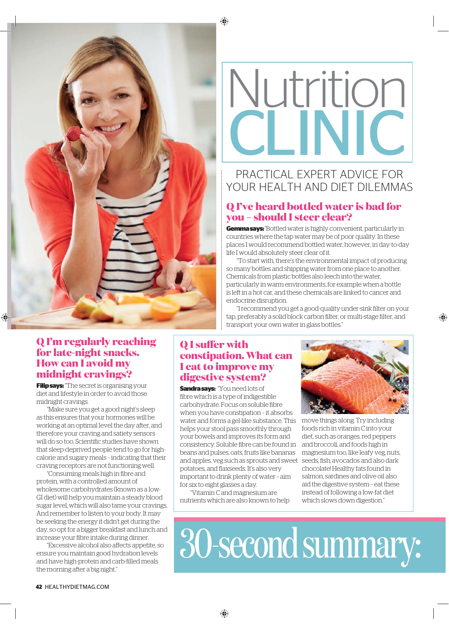



# PRACTICAL EXPERT ADVICE FOR YOUR HEALTH AND DIFT DILEMMAS

## **Q I've heard bottled water is bad for you – should I steer clear?**

**Gemma says:** "Bottled water is highly convenient, particularly in countries where the tap water may be of poor quality. In these places I would recommend bottled water, however, in day-to-day life I would absolutely steer clear of it.

"To start with, there's the environmental impact of producing so many bottles and shipping water from one place to another. Chemicals from plastic bottles also leech into the water, particularly in warm environments, for example when a bottle is left in a hot car, and these chemicals are linked to cancer and endocrine disruption.

"I recommend you get a good-quality under-sink filter on your tap, preferably a solid block carbon filter, or multi-stage filter, and transport your own water in glass bottles."

## **Q I'm regularly reaching for late-night snacks. How can I avoid my midnight cravings?**

**Filip says:** "The secret is organising your diet and lifestyle in order to avoid those midnight cravings.

"Make sure you get a good night's sleep as this ensures that your hormones will be working at an optimal level the day after, and therefore your craving and satiety sensors will do so too. Scientific studies have shown that sleep-deprived people tend to go for highcalorie and sugary meals – indicating that their craving receptors are not functioning well.

"Consuming meals high in fibre and protein, with a controlled amount of wholesome carbohydrates (known as a low-GI diet) will help you maintain a steady blood sugar level, which will also tame your cravings. And remember to listen to your body. It may be seeking the energy it didn't get during the day, so opt for a bigger breakfast and lunch and increase your fibre intake during dinner.

"Excessive alcohol also affects appetite, so ensure you maintain good hydration levels and have high-protein and carb-filled meals the morning after a big night."

## **Q I suffer with constipation. What can I eat to improve my digestive system?**

**Sandra says:** "You need lots of fibre which is a type of indigestible carbohydrate. Focus on soluble fibre when you have constipation – it absorbs water and forms a gel-like substance. This move things along. Try including helps your stool pass smoothly through your bowels and improves its form and consistency. Soluble fibre can be found in beans and pulses, oats, fruits like bananas and apples, veg such as sprouts and sweet potatoes, and flaxseeds. It's also very important to drink plenty of water – aim for six to eight glasses a day.

"Vitamin C and magnesium are nutrients which are also known to help



◈

foods rich in vitamin C into your diet, such as oranges, red peppers and broccoli, and foods high in magnesium too, like leafy veg, nuts, seeds, fish, avocados and also dark chocolate! Healthy fats found in salmon, sardines and olive oil also aid the digestive system – eat these instead of following a low-fat diet which slows down digestion."

30-second summary: